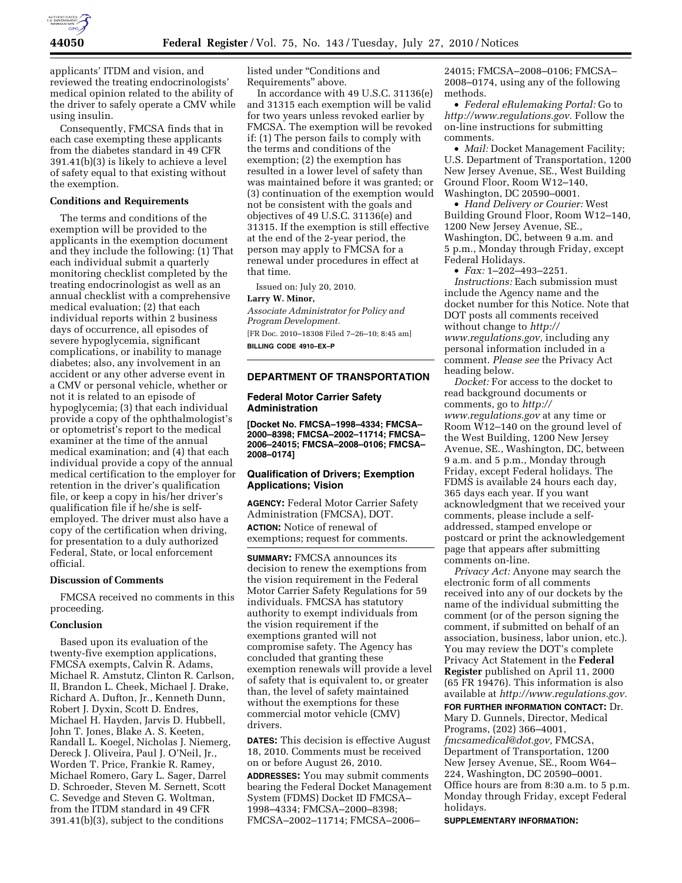

applicants' ITDM and vision, and reviewed the treating endocrinologists' medical opinion related to the ability of the driver to safely operate a CMV while using insulin.

Consequently, FMCSA finds that in each case exempting these applicants from the diabetes standard in 49 CFR 391.41(b)(3) is likely to achieve a level of safety equal to that existing without the exemption.

# **Conditions and Requirements**

The terms and conditions of the exemption will be provided to the applicants in the exemption document and they include the following: (1) That each individual submit a quarterly monitoring checklist completed by the treating endocrinologist as well as an annual checklist with a comprehensive medical evaluation; (2) that each individual reports within 2 business days of occurrence, all episodes of severe hypoglycemia, significant complications, or inability to manage diabetes; also, any involvement in an accident or any other adverse event in a CMV or personal vehicle, whether or not it is related to an episode of hypoglycemia; (3) that each individual provide a copy of the ophthalmologist's or optometrist's report to the medical examiner at the time of the annual medical examination; and (4) that each individual provide a copy of the annual medical certification to the employer for retention in the driver's qualification file, or keep a copy in his/her driver's qualification file if he/she is selfemployed. The driver must also have a copy of the certification when driving, for presentation to a duly authorized Federal, State, or local enforcement official.

#### **Discussion of Comments**

FMCSA received no comments in this proceeding.

## **Conclusion**

Based upon its evaluation of the twenty-five exemption applications, FMCSA exempts, Calvin R. Adams, Michael R. Amstutz, Clinton R. Carlson, II, Brandon L. Cheek, Michael J. Drake, Richard A. Dufton, Jr., Kenneth Dunn, Robert J. Dyxin, Scott D. Endres, Michael H. Hayden, Jarvis D. Hubbell, John T. Jones, Blake A. S. Keeten, Randall L. Koegel, Nicholas J. Niemerg, Dereck J. Oliveira, Paul J. O'Neil, Jr., Worden T. Price, Frankie R. Ramey, Michael Romero, Gary L. Sager, Darrel D. Schroeder, Steven M. Sernett, Scott C. Sevedge and Steven G. Woltman, from the ITDM standard in 49 CFR 391.41(b)(3), subject to the conditions

listed under ''Conditions and Requirements'' above.

In accordance with 49 U.S.C. 31136(e) and 31315 each exemption will be valid for two years unless revoked earlier by FMCSA. The exemption will be revoked if: (1) The person fails to comply with the terms and conditions of the exemption; (2) the exemption has resulted in a lower level of safety than was maintained before it was granted; or (3) continuation of the exemption would not be consistent with the goals and objectives of 49 U.S.C. 31136(e) and 31315. If the exemption is still effective at the end of the 2-year period, the person may apply to FMCSA for a renewal under procedures in effect at that time.

Issued on: July 20, 2010.

## **Larry W. Minor,**

*Associate Administrator for Policy and Program Development.*  [FR Doc. 2010–18308 Filed 7–26–10; 8:45 am] **BILLING CODE 4910–EX–P** 

**DEPARTMENT OF TRANSPORTATION** 

### **Federal Motor Carrier Safety Administration**

**[Docket No. FMCSA–1998–4334; FMCSA– 2000–8398; FMCSA–2002–11714; FMCSA– 2006–24015; FMCSA–2008–0106; FMCSA– 2008–0174]** 

# **Qualification of Drivers; Exemption Applications; Vision**

**AGENCY:** Federal Motor Carrier Safety Administration (FMCSA), DOT. **ACTION:** Notice of renewal of

exemptions; request for comments.

**SUMMARY:** FMCSA announces its decision to renew the exemptions from the vision requirement in the Federal Motor Carrier Safety Regulations for 59 individuals. FMCSA has statutory authority to exempt individuals from the vision requirement if the exemptions granted will not compromise safety. The Agency has concluded that granting these exemption renewals will provide a level of safety that is equivalent to, or greater than, the level of safety maintained without the exemptions for these commercial motor vehicle (CMV) drivers.

**DATES:** This decision is effective August 18, 2010. Comments must be received on or before August 26, 2010.

**ADDRESSES:** You may submit comments bearing the Federal Docket Management System (FDMS) Docket ID FMCSA– 1998–4334; FMCSA–2000–8398; FMCSA–2002–11714; FMCSA–2006–

24015; FMCSA–2008–0106; FMCSA– 2008–0174, using any of the following methods.

• *Federal eRulemaking Portal:* Go to *[http://www.regulations.gov.](http://www.regulations.gov)* Follow the on-line instructions for submitting comments.

• *Mail:* Docket Management Facility; U.S. Department of Transportation, 1200 New Jersey Avenue, SE., West Building Ground Floor, Room W12–140, Washington, DC 20590–0001.

• *Hand Delivery or Courier:* West Building Ground Floor, Room W12–140, 1200 New Jersey Avenue, SE., Washington, DC, between 9 a.m. and 5 p.m., Monday through Friday, except Federal Holidays.

• *Fax:* 1–202–493–2251.

*Instructions:* Each submission must include the Agency name and the docket number for this Notice. Note that DOT posts all comments received without change to *[http://](http://www.regulations.gov) [www.regulations.gov,](http://www.regulations.gov)* including any personal information included in a comment. *Please see* the Privacy Act heading below.

*Docket:* For access to the docket to read background documents or comments, go to *[http://](http://www.regulations.gov) [www.regulations.gov](http://www.regulations.gov)* at any time or Room W12–140 on the ground level of the West Building, 1200 New Jersey Avenue, SE., Washington, DC, between 9 a.m. and 5 p.m., Monday through Friday, except Federal holidays. The FDMS is available 24 hours each day, 365 days each year. If you want acknowledgment that we received your comments, please include a selfaddressed, stamped envelope or postcard or print the acknowledgement page that appears after submitting comments on-line.

*Privacy Act:* Anyone may search the electronic form of all comments received into any of our dockets by the name of the individual submitting the comment (or of the person signing the comment, if submitted on behalf of an association, business, labor union, etc.). You may review the DOT's complete Privacy Act Statement in the **Federal Register** published on April 11, 2000 (65 FR 19476). This information is also available at *[http://www.regulations.gov.](http://www.regulations.gov)* 

**FOR FURTHER INFORMATION CONTACT:** Dr. Mary D. Gunnels, Director, Medical Programs, (202) 366–4001, *[fmcsamedical@dot.gov,](mailto:fmcsamedical@dot.gov)* FMCSA, Department of Transportation, 1200 New Jersey Avenue, SE., Room W64– 224, Washington, DC 20590–0001. Office hours are from 8:30 a.m. to 5 p.m. Monday through Friday, except Federal holidays.

**SUPPLEMENTARY INFORMATION:**